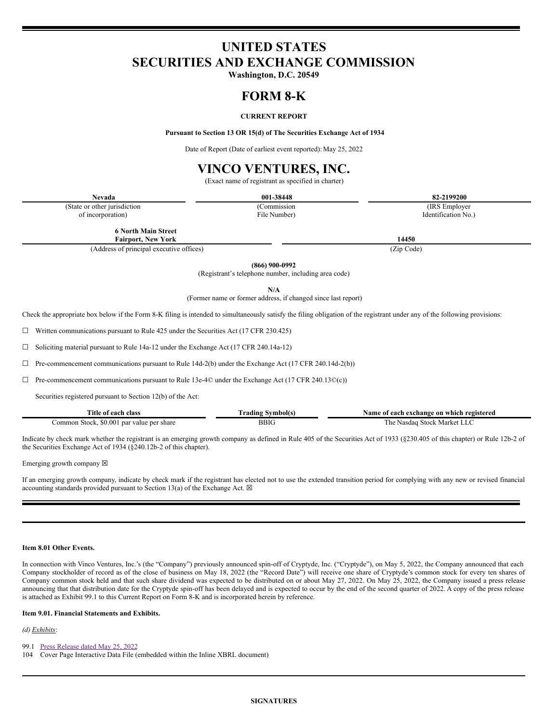# **UNITED STATES SECURITIES AND EXCHANGE COMMISSION**

**Washington, D.C. 20549**

# **FORM 8-K**

## **CURRENT REPORT**

**Pursuant to Section 13 OR 15(d) of The Securities Exchange Act of 1934**

Date of Report (Date of earliest event reported): May 25, 2022

# **VINCO VENTURES, INC.**

(Exact name of registrant as specified in charter)

| Nevada                        | $-38448$<br>001. | 199200<br>o,      |
|-------------------------------|------------------|-------------------|
| (State or other jurisdiction) | ommission/       | (IRS<br>Employer  |
| incorporation)<br>.           | File Number)     | Identification Ne |

**6 North Main Street Fairport, New York 14450**

(Address of principal executive offices) (Zip Code)

**(866) 900-0992**

(Registrant's telephone number, including area code)

**N/A**

(Former name or former address, if changed since last report)

Check the appropriate box below if the Form 8-K filing is intended to simultaneously satisfy the filing obligation of the registrant under any of the following provisions:

 $\Box$  Written communications pursuant to Rule 425 under the Securities Act (17 CFR 230.425)

☐ Soliciting material pursuant to Rule 14a-12 under the Exchange Act (17 CFR 240.14a-12)

 $\Box$  Pre-commencement communications pursuant to Rule 14d-2(b) under the Exchange Act (17 CFR 240.14d-2(b))

☐ Pre-commencement communications pursuant to Rule 13e-4© under the Exchange Act (17 CFR 240.13©(c))

Securities registered pursuant to Section 12(b) of the Act:

| Title of .<br>ı class<br>each                             | rading<br>vmbolts | registered -<br>Name<br>ı exchange on<br>which<br>each<br>- 0 T |
|-----------------------------------------------------------|-------------------|-----------------------------------------------------------------|
| \$0.00<br>Stock.<br>.ommon<br>share<br>par value<br>: ner | BBIC              | . Marke'<br>i he<br>Stock<br>Nasdag                             |

Indicate by check mark whether the registrant is an emerging growth company as defined in Rule 405 of the Securities Act of 1933 (§230.405 of this chapter) or Rule 12b-2 of the Securities Exchange Act of 1934 (§240.12b-2 of this chapter).

Emerging growth company  $\boxtimes$ 

If an emerging growth company, indicate by check mark if the registrant has elected not to use the extended transition period for complying with any new or revised financial accounting standards provided pursuant to Section 13(a) of the Exchange Act.  $\boxtimes$ 

## **Item 8.01 Other Events.**

In connection with Vinco Ventures, Inc.'s (the "Company") previously announced spin-off of Cryptyde, Inc. ("Cryptyde"), on May 5, 2022, the Company announced that each Company stockholder of record as of the close of business on May 18, 2022 (the "Record Date") will receive one share of Cryptyde's common stock for every ten shares of Company common stock held and that such share dividend was expected to be distributed on or about May 27, 2022. On May 25, 2022, the Company issued a press release announcing that that distribution date for the Cryptyde spin-off has been delayed and is expected to occur by the end of the second quarter of 2022. A copy of the press release is attached as Exhibit 99.1 to this Current Report on Form 8-K and is incorporated herein by reference.

### **Item 9.01. Financial Statements and Exhibits.**

*(d) Exhibits*:

99.1 Press [Release](#page-2-0) dated May 25, 2022

104 Cover Page Interactive Data File (embedded within the Inline XBRL document)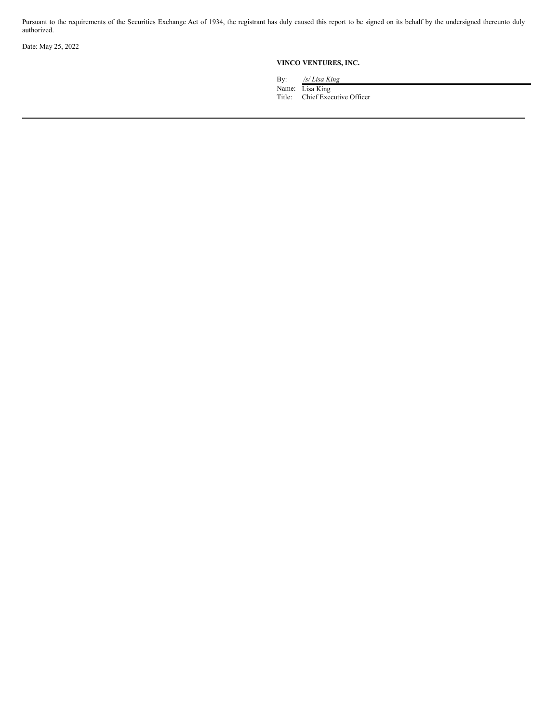Pursuant to the requirements of the Securities Exchange Act of 1934, the registrant has duly caused this report to be signed on its behalf by the undersigned thereunto duly authorized.

Date: May 25, 2022

## **VINCO VENTURES, INC.**

By: */s/ Lisa King*

Name: Lisa King

Title: Chief Executive Officer